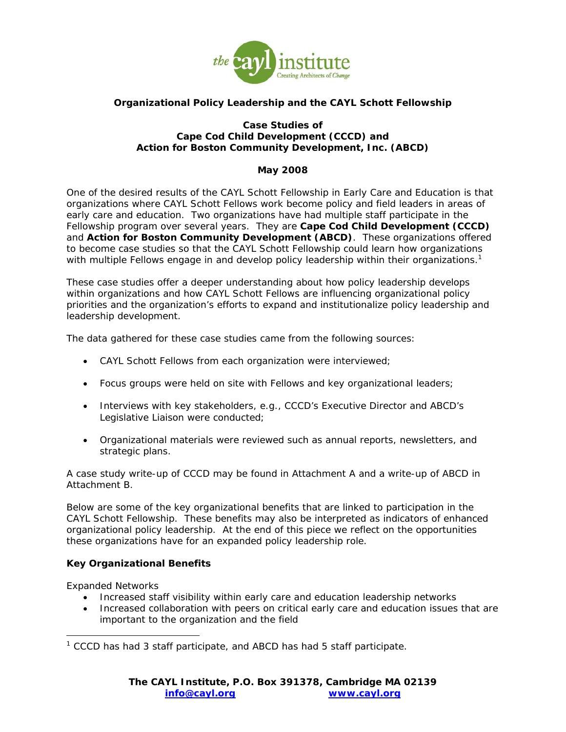

# **Organizational Policy Leadership and the CAYL Schott Fellowship**

#### **Case Studies of Cape Cod Child Development (CCCD) and Action for Boston Community Development, Inc. (ABCD)**

# **May 2008**

One of the desired results of the CAYL Schott Fellowship in Early Care and Education is that organizations where CAYL Schott Fellows work become policy and field leaders in areas of early care and education. Two organizations have had multiple staff participate in the Fellowship program over several years. They are **Cape Cod Child Development (CCCD)** and **Action for Boston Community Development (ABCD)**. These organizations offered to become case studies so that the CAYL Schott Fellowship could learn how organizations with multiple Fellows engage in and develop policy leadership within their organizations.<sup>1</sup>

These case studies offer a deeper understanding about how policy leadership develops within organizations and how CAYL Schott Fellows are influencing organizational policy priorities and the organization's efforts to expand and institutionalize policy leadership and leadership development.

The data gathered for these case studies came from the following sources:

- CAYL Schott Fellows from each organization were interviewed;
- Focus groups were held on site with Fellows and key organizational leaders;
- Interviews with key stakeholders, e.g., CCCD's Executive Director and ABCD's Legislative Liaison were conducted;
- Organizational materials were reviewed such as annual reports, newsletters, and strategic plans.

A case study write-up of CCCD may be found in Attachment A and a write-up of ABCD in Attachment B.

Below are some of the key organizational benefits that are linked to participation in the CAYL Schott Fellowship. These benefits may also be interpreted as indicators of enhanced organizational policy leadership. At the end of this piece we reflect on the opportunities these organizations have for an expanded policy leadership role.

## **Key Organizational Benefits**

*Expanded Networks* 

j

- Increased staff visibility within early care and education leadership networks
- Increased collaboration with peers on critical early care and education issues that are important to the organization and the field

<sup>&</sup>lt;sup>1</sup> CCCD has had 3 staff participate, and ABCD has had 5 staff participate.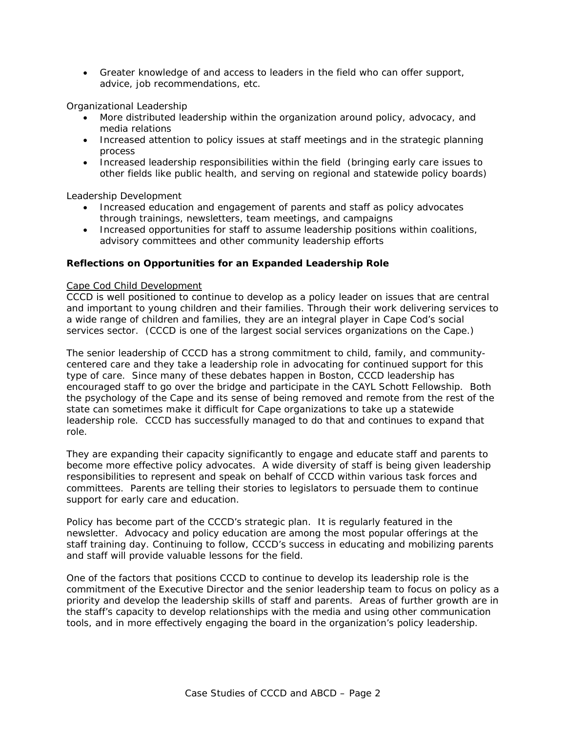• Greater knowledge of and access to leaders in the field who can offer support, advice, job recommendations, etc.

## *Organizational Leadership*

- More distributed leadership within the organization around policy, advocacy, and media relations
- Increased attention to policy issues at staff meetings and in the strategic planning process
- Increased leadership responsibilities within the field (bringing early care issues to other fields like public health, and serving on regional and statewide policy boards)

#### *Leadership Development*

- Increased education and engagement of parents and staff as policy advocates through trainings, newsletters, team meetings, and campaigns
- Increased opportunities for staff to assume leadership positions within coalitions, advisory committees and other community leadership efforts

#### **Reflections on Opportunities for an Expanded Leadership Role**

#### *Cape Cod Child Development*

CCCD is well positioned to continue to develop as a policy leader on issues that are central and important to young children and their families. Through their work delivering services to a wide range of children and families, they are an integral player in Cape Cod's social services sector. (CCCD is one of the largest social services organizations on the Cape.)

The senior leadership of CCCD has a strong commitment to child, family, and communitycentered care and they take a leadership role in advocating for continued support for this type of care. Since many of these debates happen in Boston, CCCD leadership has encouraged staff to go over the bridge and participate in the CAYL Schott Fellowship. Both the psychology of the Cape and its sense of being removed and remote from the rest of the state can sometimes make it difficult for Cape organizations to take up a statewide leadership role. CCCD has successfully managed to do that and continues to expand that role.

They are expanding their capacity significantly to engage and educate staff and parents to become more effective policy advocates. A wide diversity of staff is being given leadership responsibilities to represent and speak on behalf of CCCD within various task forces and committees. Parents are telling their stories to legislators to persuade them to continue support for early care and education.

Policy has become part of the CCCD's strategic plan. It is regularly featured in the newsletter. Advocacy and policy education are among the most popular offerings at the staff training day. Continuing to follow, CCCD's success in educating and mobilizing parents and staff will provide valuable lessons for the field.

One of the factors that positions CCCD to continue to develop its leadership role is the commitment of the Executive Director and the senior leadership team to focus on policy as a priority and develop the leadership skills of staff and parents. Areas of further growth are in the staff's capacity to develop relationships with the media and using other communication tools, and in more effectively engaging the board in the organization's policy leadership.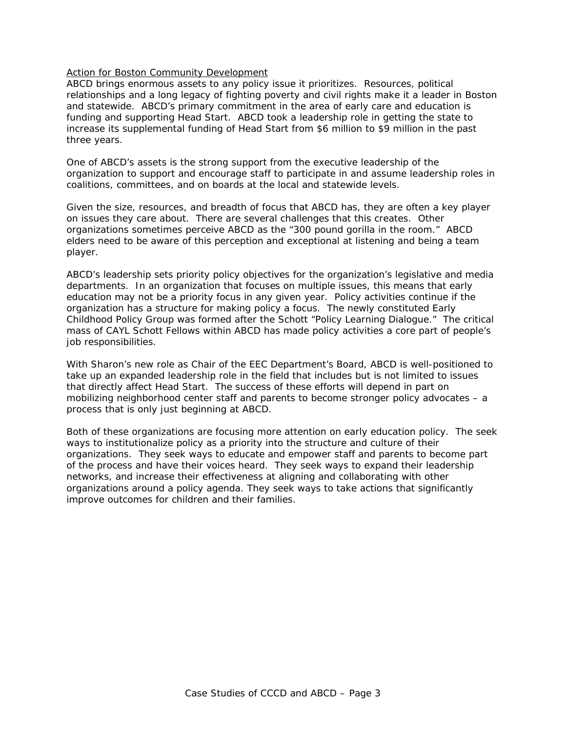#### *Action for Boston Community Development*

ABCD brings enormous assets to any policy issue it prioritizes. Resources, political relationships and a long legacy of fighting poverty and civil rights make it a leader in Boston and statewide. ABCD's primary commitment in the area of early care and education is funding and supporting Head Start. ABCD took a leadership role in getting the state to increase its supplemental funding of Head Start from \$6 million to \$9 million in the past three years.

One of ABCD's assets is the strong support from the executive leadership of the organization to support and encourage staff to participate in and assume leadership roles in coalitions, committees, and on boards at the local and statewide levels.

Given the size, resources, and breadth of focus that ABCD has, they are often a key player on issues they care about. There are several challenges that this creates. Other organizations sometimes perceive ABCD as the "300 pound gorilla in the room." ABCD elders need to be aware of this perception and exceptional at listening and being a team player.

ABCD's leadership sets priority policy objectives for the organization's legislative and media departments. In an organization that focuses on multiple issues, this means that early education may not be a priority focus in any given year. Policy activities continue if the organization has a structure for making policy a focus. The newly constituted Early Childhood Policy Group was formed after the Schott "Policy Learning Dialogue." The critical mass of CAYL Schott Fellows within ABCD has made policy activities a core part of people's job responsibilities.

With Sharon's new role as Chair of the EEC Department's Board, ABCD is well-positioned to take up an expanded leadership role in the field that includes but is not limited to issues that directly affect Head Start. The success of these efforts will depend in part on mobilizing neighborhood center staff and parents to become stronger policy advocates – a process that is only just beginning at ABCD.

Both of these organizations are focusing more attention on early education policy. The seek ways to institutionalize policy as a priority into the structure and culture of their organizations. They seek ways to educate and empower staff and parents to become part of the process and have their voices heard. They seek ways to expand their leadership networks, and increase their effectiveness at aligning and collaborating with other organizations around a policy agenda. They seek ways to take actions that significantly improve outcomes for children and their families.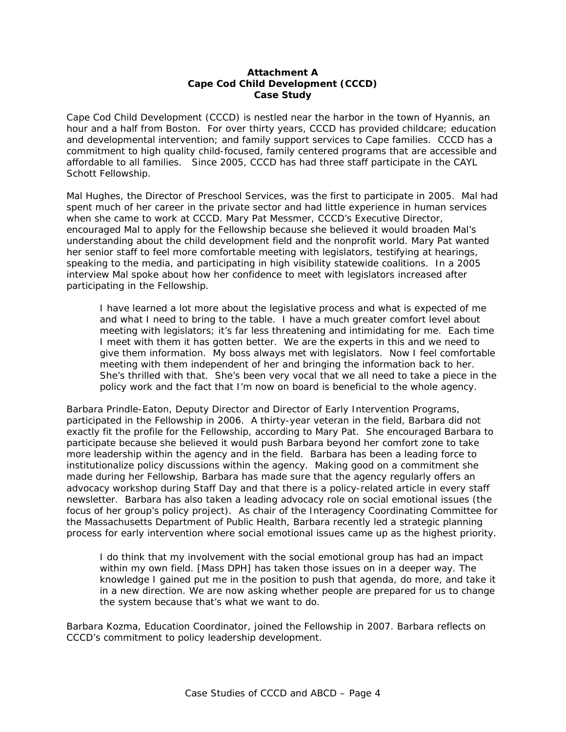### **Attachment A Cape Cod Child Development (CCCD) Case Study**

Cape Cod Child Development (CCCD) is nestled near the harbor in the town of Hyannis, an hour and a half from Boston. For over thirty years, CCCD has provided childcare; education and developmental intervention; and family support services to Cape families. CCCD has a commitment to high quality child-focused, family centered programs that are accessible and affordable to all families. Since 2005, CCCD has had three staff participate in the CAYL Schott Fellowship.

Mal Hughes, the Director of Preschool Services, was the first to participate in 2005. Mal had spent much of her career in the private sector and had little experience in human services when she came to work at CCCD. Mary Pat Messmer, CCCD's Executive Director, encouraged Mal to apply for the Fellowship because she believed it would broaden Mal's understanding about the child development field and the nonprofit world. Mary Pat wanted her senior staff to feel more comfortable meeting with legislators, testifying at hearings, speaking to the media, and participating in high visibility statewide coalitions. In a 2005 interview Mal spoke about how her confidence to meet with legislators increased after participating in the Fellowship.

*I have learned a lot more about the legislative process and what is expected of me and what I need to bring to the table. I have a much greater comfort level about meeting with legislators; it's far less threatening and intimidating for me. Each time I* meet with them it has gotten better. We are the experts in this and we need to *give them information. My boss always met with legislators. Now I feel comfortable meeting with them independent of her and bringing the information back to her. She's thrilled with that. She's been very vocal that we all need to take a piece in the policy work and the fact that I'm now on board is beneficial to the whole agency.* 

Barbara Prindle-Eaton, Deputy Director and Director of Early Intervention Programs, participated in the Fellowship in 2006. A thirty-year veteran in the field, Barbara did not exactly fit the profile for the Fellowship, according to Mary Pat. She encouraged Barbara to participate because she believed it would push Barbara beyond her comfort zone to take more leadership within the agency and in the field. Barbara has been a leading force to institutionalize policy discussions within the agency. Making good on a commitment she made during her Fellowship, Barbara has made sure that the agency regularly offers an advocacy workshop during Staff Day and that there is a policy-related article in every staff newsletter. Barbara has also taken a leading advocacy role on social emotional issues (the focus of her group's policy project). As chair of the Interagency Coordinating Committee for the Massachusetts Department of Public Health, Barbara recently led a strategic planning process for early intervention where social emotional issues came up as the highest priority.

*I do think that my involvement with the social emotional group has had an impact within my own field. [Mass DPH] has taken those issues on in a deeper way. The knowledge I gained put me in the position to push that agenda, do more, and take it in a new direction. We are now asking whether people are prepared for us to change the system because that's what we want to do.* 

Barbara Kozma, Education Coordinator, joined the Fellowship in 2007. Barbara reflects on CCCD's commitment to policy leadership development.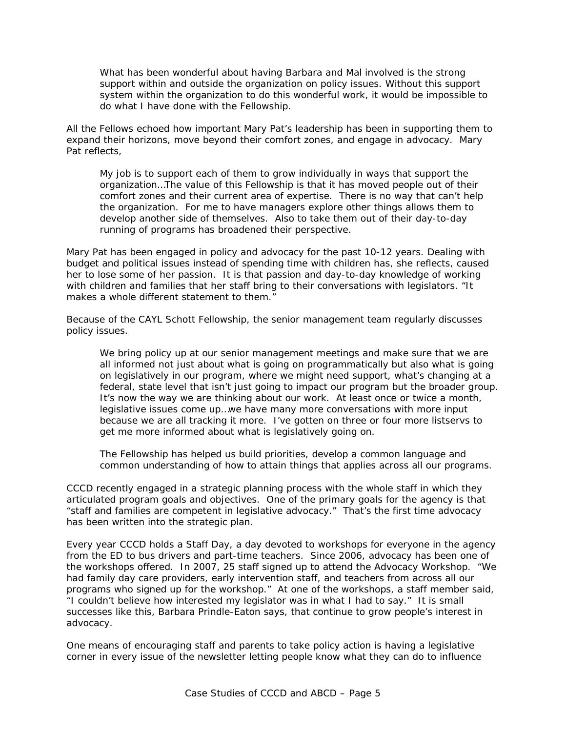*What has been wonderful about having Barbara and Mal involved is the strong support within and outside the organization on policy issues. Without this support system within the organization to do this wonderful work, it would be impossible to do what I have done with the Fellowship.* 

All the Fellows echoed how important Mary Pat's leadership has been in supporting them to expand their horizons, move beyond their comfort zones, and engage in advocacy. Mary Pat reflects,

*My job is to support each of them to grow individually in ways that support the organization…The value of this Fellowship is that it has moved people out of their comfort zones and their current area of expertise. There is no way that can't help the organization. For me to have managers explore other things allows them to develop another side of themselves. Also to take them out of their day-to-day running of programs has broadened their perspective.*

Mary Pat has been engaged in policy and advocacy for the past 10-12 years. Dealing with budget and political issues instead of spending time with children has, she reflects, caused her to lose some of her passion. It is that passion and day-to-day knowledge of working with children and families that her staff bring to their conversations with legislators. "It makes a whole different statement to them.

Because of the CAYL Schott Fellowship, the senior management team regularly discusses policy issues.

We bring policy up at our senior management meetings and make sure that we are *all informed not just about what is going on programmatically but also what is going on legislatively in our program, where we might need support, what's changing at a federal, state level that isn't just going to impact our program but the broader group. It's now the way we are thinking about our work. At least once or twice a month, legislative issues come up…we have many more conversations with more input because we are all tracking it more. I've gotten on three or four more listservs to get me more informed about what is legislatively going on.* 

*The Fellowship has helped us build priorities, develop a common language and common understanding of how to attain things that applies across all our programs.* 

CCCD recently engaged in a strategic planning process with the whole staff in which they articulated program goals and objectives. One of the primary goals for the agency is that "staff and families are competent in legislative advocacy."That's the first time advocacy has been written into the strategic plan.

Every year CCCD holds a Staff Day, a day devoted to workshops for everyone in the agency from the ED to bus drivers and part-time teachers. Since 2006, advocacy has been one of the workshops offered. In 2007, 25 staff signed up to attend the Advocacy Workshop. "We had family day care providers, early intervention staff, and teachers from across all our programs who signed up for the workshop." At one of the workshops, a staff member said, "I couldn't believe how interested my legislator was in what I had to say." It is small successes like this, Barbara Prindle-Eaton says, that continue to grow people's interest in advocacy.

One means of encouraging staff and parents to take policy action is having a legislative corner in every issue of the newsletter letting people know what they can do to influence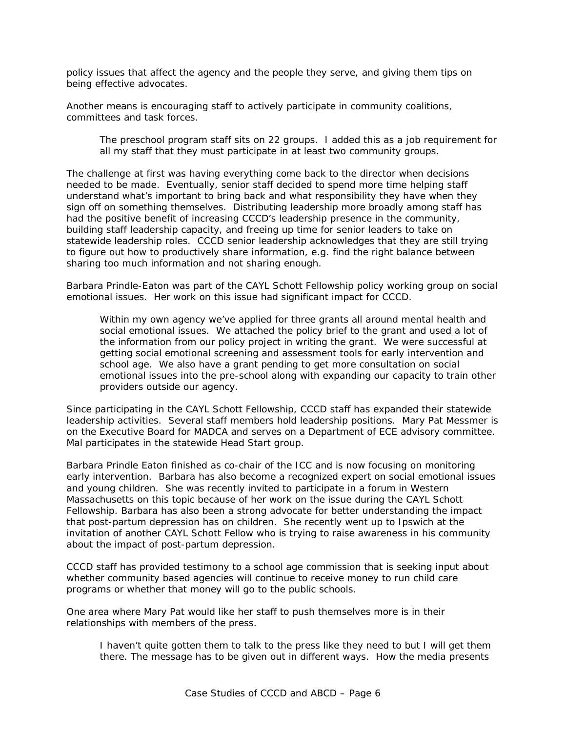policy issues that affect the agency and the people they serve, and giving them tips on being effective advocates.

Another means is encouraging staff to actively participate in community coalitions, committees and task forces.

### *The preschool program staff sits on 22 groups. I added this as a job requirement for all my staff that they must participate in at least two community groups.*

The challenge at first was having everything come back to the director when decisions needed to be made. Eventually, senior staff decided to spend more time helping staff understand what's important to bring back and what responsibility they have when they sign off on something themselves. Distributing leadership more broadly among staff has had the positive benefit of increasing CCCD's leadership presence in the community, building staff leadership capacity, and freeing up time for senior leaders to take on statewide leadership roles. CCCD senior leadership acknowledges that they are still trying to figure out how to productively share information, e.g. find the right balance between sharing too much information and not sharing enough.

Barbara Prindle-Eaton was part of the CAYL Schott Fellowship policy working group on social emotional issues. Her work on this issue had significant impact for CCCD.

*Within my own agency we've applied for three grants all around mental health and social emotional issues. We attached the policy brief to the grant and used a lot of the information from our policy project in writing the grant. We were successful at getting social emotional screening and assessment tools for early intervention and school age. We also have a grant pending to get more consultation on social emotional issues into the pre-school along with expanding our capacity to train other providers outside our agency.* 

Since participating in the CAYL Schott Fellowship, CCCD staff has expanded their statewide leadership activities. Several staff members hold leadership positions. Mary Pat Messmer is on the Executive Board for MADCA and serves on a Department of ECE advisory committee. Mal participates in the statewide Head Start group.

Barbara Prindle Eaton finished as co-chair of the ICC and is now focusing on monitoring early intervention. Barbara has also become a recognized expert on social emotional issues and young children. She was recently invited to participate in a forum in Western Massachusetts on this topic because of her work on the issue during the CAYL Schott Fellowship. Barbara has also been a strong advocate for better understanding the impact that post-partum depression has on children. She recently went up to Ipswich at the invitation of another CAYL Schott Fellow who is trying to raise awareness in his community about the impact of post-partum depression.

CCCD staff has provided testimony to a school age commission that is seeking input about whether community based agencies will continue to receive money to run child care programs or whether that money will go to the public schools.

One area where Mary Pat would like her staff to push themselves more is in their relationships with members of the press.

*I haven't quite gotten them to talk to the press like they need to but I will get them there. The message has to be given out in different ways. How the media presents*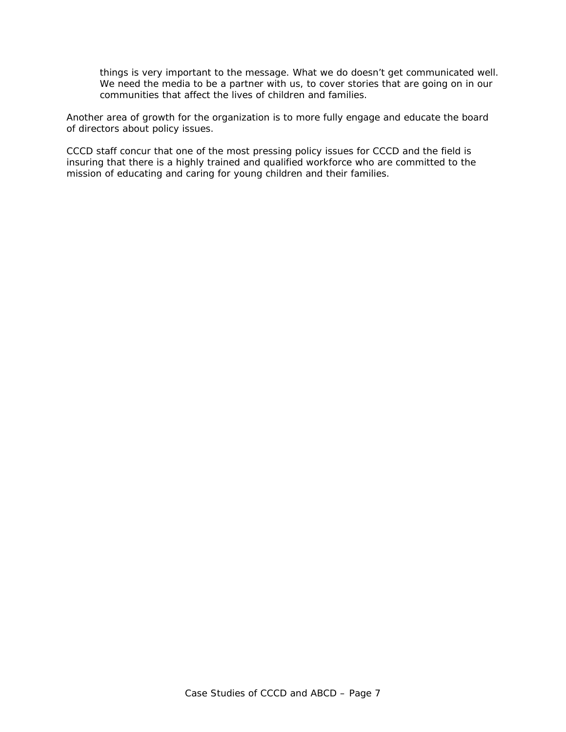*things is very important to the message. What we do doesn't get communicated well. We need the media to be a partner with us, to cover stories that are going on in our communities that affect the lives of children and families.* 

Another area of growth for the organization is to more fully engage and educate the board of directors about policy issues.

CCCD staff concur that one of the most pressing policy issues for CCCD and the field is insuring that there is a highly trained and qualified workforce who are committed to the mission of educating and caring for young children and their families.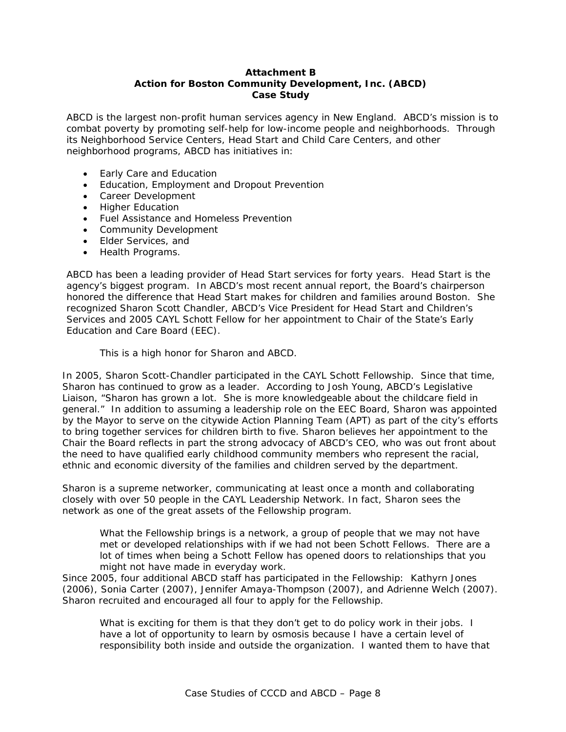## **Attachment B Action for Boston Community Development, Inc. (ABCD) Case Study**

ABCD is the largest non-profit human services agency in New England. ABCD's mission is to combat poverty by promoting self-help for low-income people and neighborhoods. Through its Neighborhood Service Centers, Head Start and Child Care Centers, and other neighborhood programs, ABCD has initiatives in:

- Early Care and Education
- Education, Employment and Dropout Prevention
- Career Development
- Higher Education
- Fuel Assistance and Homeless Prevention
- Community Development
- Elder Services, and
- Health Programs.

ABCD has been a leading provider of Head Start services for forty years. Head Start is the agency's biggest program. In ABCD's most recent annual report, the Board's chairperson honored the difference that Head Start makes for children and families around Boston. She recognized Sharon Scott Chandler, ABCD's Vice President for Head Start and Children's Services and 2005 CAYL Schott Fellow for her appointment to Chair of the State's Early Education and Care Board (EEC).

## *This is a high honor for Sharon and ABCD.*

In 2005, Sharon Scott-Chandler participated in the CAYL Schott Fellowship. Since that time, Sharon has continued to grow as a leader. According to Josh Young, ABCD's Legislative Liaison, "Sharon has grown a lot. She is more knowledgeable about the childcare field in general." In addition to assuming a leadership role on the EEC Board, Sharon was appointed by the Mayor to serve on the citywide Action Planning Team (APT) as part of the city's efforts to bring together services for children birth to five. Sharon believes her appointment to the Chair the Board reflects in part the strong advocacy of ABCD's CEO, who was out front about the need to have qualified early childhood community members who represent the racial, ethnic and economic diversity of the families and children served by the department.

Sharon is a supreme networker, communicating at least once a month and collaborating closely with over 50 people in the CAYL Leadership Network. In fact, Sharon sees the network as one of the great assets of the Fellowship program.

*What the Fellowship brings is a network, a group of people that we may not have met or developed relationships with if we had not been Schott Fellows. There are a lot of times when being a Schott Fellow has opened doors to relationships that you might not have made in everyday work.* 

Since 2005, four additional ABCD staff has participated in the Fellowship: Kathyrn Jones (2006), Sonia Carter (2007), Jennifer Amaya-Thompson (2007), and Adrienne Welch (2007). Sharon recruited and encouraged all four to apply for the Fellowship.

*What is exciting for them is that they don't get to do policy work in their jobs. I have a lot of opportunity to learn by osmosis because I have a certain level of responsibility both inside and outside the organization. I wanted them to have that*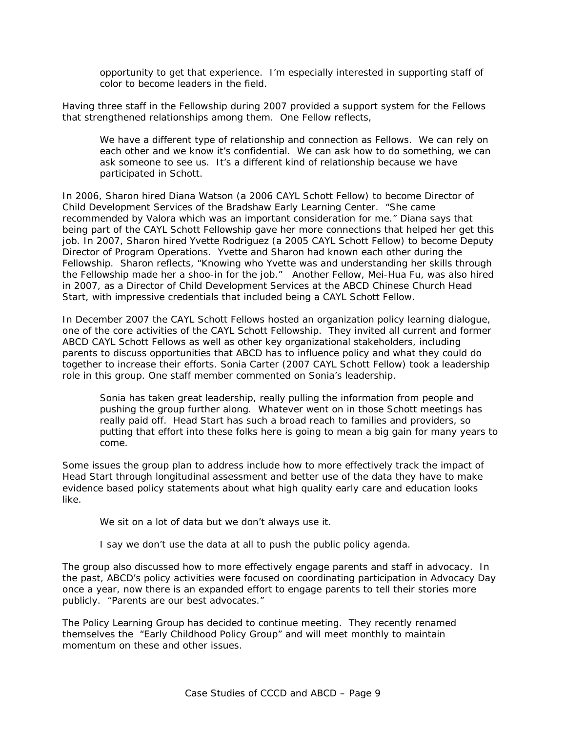*opportunity to get that experience. I'm especially interested in supporting staff of color to become leaders in the field.* 

Having three staff in the Fellowship during 2007 provided a support system for the Fellows that strengthened relationships among them. One Fellow reflects,

*We have a different type of relationship and connection as Fellows. We can rely on each other and we know it's confidential. We can ask how to do something, we can ask someone to see us. It's a different kind of relationship because we have participated in Schott.* 

In 2006, Sharon hired Diana Watson (a 2006 CAYL Schott Fellow) to become Director of Child Development Services of the Bradshaw Early Learning Center. "She came recommended by Valora which was an important consideration for me." Diana says that being part of the CAYL Schott Fellowship gave her more connections that helped her get this job. In 2007, Sharon hired Yvette Rodriguez (a 2005 CAYL Schott Fellow) to become Deputy Director of Program Operations. Yvette and Sharon had known each other during the Fellowship. Sharon reflects, "Knowing who Yvette was and understanding her skills through the Fellowship made her a shoo-in for the job." Another Fellow, Mei-Hua Fu, was also hired in 2007, as a Director of Child Development Services at the ABCD Chinese Church Head Start, with impressive credentials that included being a CAYL Schott Fellow.

In December 2007 the CAYL Schott Fellows hosted an organization policy learning dialogue, one of the core activities of the CAYL Schott Fellowship. They invited all current and former ABCD CAYL Schott Fellows as well as other key organizational stakeholders, including parents to discuss opportunities that ABCD has to influence policy and what they could do together to increase their efforts. Sonia Carter (2007 CAYL Schott Fellow) took a leadership role in this group. One staff member commented on Sonia's leadership.

*Sonia has taken great leadership, really pulling the information from people and pushing the group further along. Whatever went on in those Schott meetings has really paid off. Head Start has such a broad reach to families and providers, so putting that effort into these folks here is going to mean a big gain for many years to come.* 

Some issues the group plan to address include how to more effectively track the impact of Head Start through longitudinal assessment and better use of the data they have to make evidence based policy statements about what high quality early care and education looks like.

*We sit on a lot of data but we don't always use it.* 

*I say we don't use the data at all to push the public policy agenda.* 

The group also discussed how to more effectively engage parents and staff in advocacy. In the past, ABCD's policy activities were focused on coordinating participation in Advocacy Day once a year, now there is an expanded effort to engage parents to tell their stories more publicly. "Parents are our best advocates."

The Policy Learning Group has decided to continue meeting. They recently renamed themselves the "Early Childhood Policy Group" and will meet monthly to maintain momentum on these and other issues.